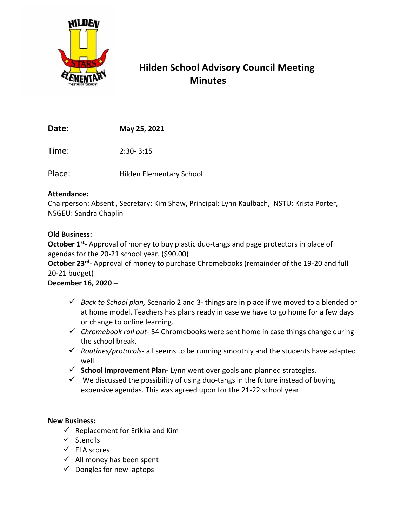

# **Hilden School Advisory Council Meeting Minutes**

**Date: May 25, 2021**

Time: 2:30- 3:15

Place: Hilden Elementary School

### **Attendance:**

Chairperson: Absent , Secretary: Kim Shaw, Principal: Lynn Kaulbach, NSTU: Krista Porter, NSGEU: Sandra Chaplin

## **Old Business:**

October 1<sup>st</sup>- Approval of money to buy plastic duo-tangs and page protectors in place of agendas for the 20-21 school year. (\$90.00)

October 23<sup>rd</sup>- Approval of money to purchase Chromebooks (remainder of the 19-20 and full 20-21 budget)

# **December 16, 2020 –**

- ✓ *Back to School plan,* Scenario 2 and 3- things are in place if we moved to a blended or at home model. Teachers has plans ready in case we have to go home for a few days or change to online learning.
- ✓ *Chromebook roll out* 54 Chromebooks were sent home in case things change during the school break.
- ✓ *Routines/protocols* all seems to be running smoothly and the students have adapted well.
- ✓ **School Improvement Plan-** Lynn went over goals and planned strategies.
- $\checkmark$  We discussed the possibility of using duo-tangs in the future instead of buying expensive agendas. This was agreed upon for the 21-22 school year.

### **New Business:**

- $\checkmark$  Replacement for Erikka and Kim
- ✓ Stencils
- ✓ ELA scores
- $\checkmark$  All money has been spent
- $\checkmark$  Dongles for new laptops